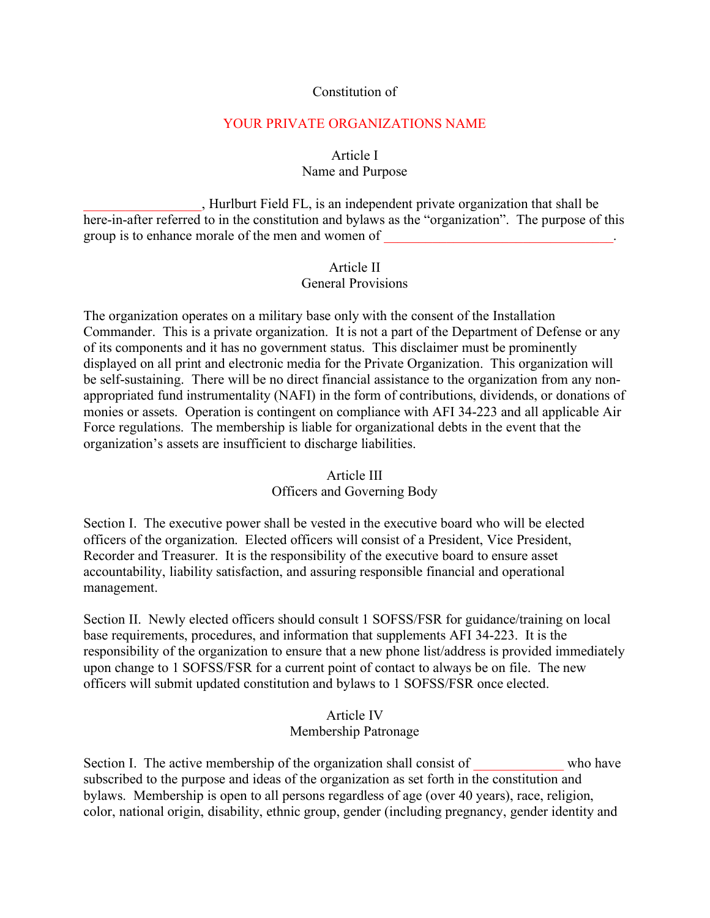#### Constitution of

#### YOUR PRIVATE ORGANIZATIONS NAME

#### Article I Name and Purpose

\_\_\_\_\_\_\_\_\_\_\_\_\_\_\_\_\_, Hurlburt Field FL, is an independent private organization that shall be here-in-after referred to in the constitution and bylaws as the "organization". The purpose of this group is to enhance morale of the men and women of

#### Article II General Provisions

The organization operates on a military base only with the consent of the Installation Commander. This is a private organization. It is not a part of the Department of Defense or any of its components and it has no government status. This disclaimer must be prominently displayed on all print and electronic media for the Private Organization. This organization will be self-sustaining. There will be no direct financial assistance to the organization from any nonappropriated fund instrumentality (NAFI) in the form of contributions, dividends, or donations of monies or assets. Operation is contingent on compliance with AFI 34-223 and all applicable Air Force regulations. The membership is liable for organizational debts in the event that the organization's assets are insufficient to discharge liabilities.

# Article III Officers and Governing Body

Section I. The executive power shall be vested in the executive board who will be elected officers of the organization. Elected officers will consist of a President, Vice President, Recorder and Treasurer. It is the responsibility of the executive board to ensure asset accountability, liability satisfaction, and assuring responsible financial and operational management.

Section II. Newly elected officers should consult 1 SOFSS/FSR for guidance/training on local base requirements, procedures, and information that supplements AFI 34-223. It is the responsibility of the organization to ensure that a new phone list/address is provided immediately upon change to 1 SOFSS/FSR for a current point of contact to always be on file. The new officers will submit updated constitution and bylaws to 1 SOFSS/FSR once elected.

#### Article IV Membership Patronage

Section I. The active membership of the organization shall consist of who have subscribed to the purpose and ideas of the organization as set forth in the constitution and bylaws. Membership is open to all persons regardless of age (over 40 years), race, religion, color, national origin, disability, ethnic group, gender (including pregnancy, gender identity and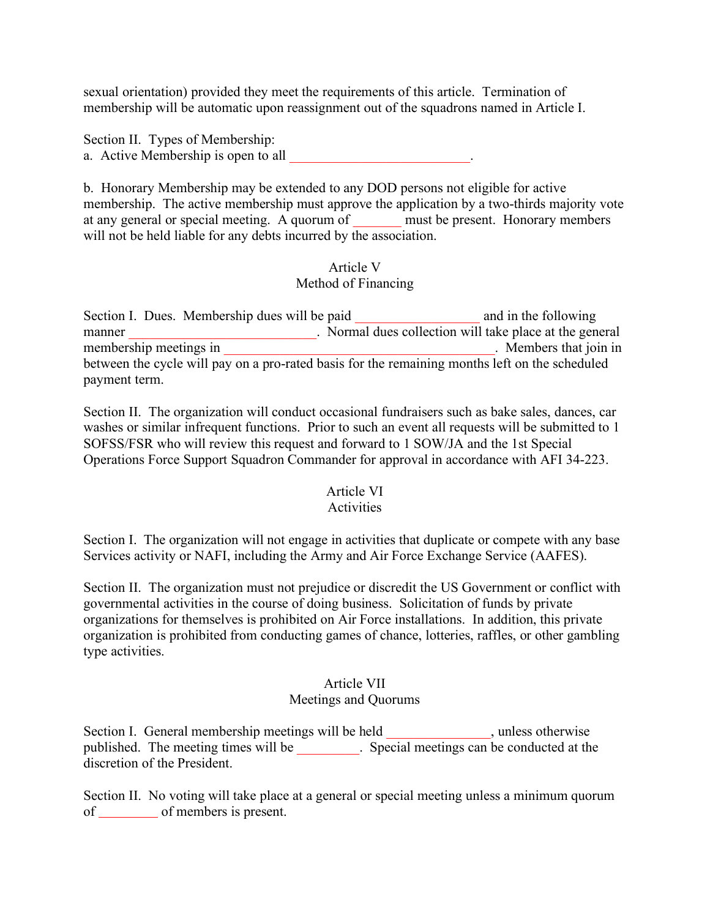sexual orientation) provided they meet the requirements of this article. Termination of membership will be automatic upon reassignment out of the squadrons named in Article I.

Section II. Types of Membership: a. Active Membership is open to all

b. Honorary Membership may be extended to any DOD persons not eligible for active membership. The active membership must approve the application by a two-thirds majority vote at any general or special meeting. A quorum of must be present. Honorary members will not be held liable for any debts incurred by the association.

#### Article V Method of Financing

Section I. Dues. Membership dues will be paid and in the following manner<br>membership meetings in<br>Normal dues collection will take place at the general<br>Members that ioin in membership meetings in \_\_\_\_\_\_\_\_\_\_\_\_\_\_\_\_\_\_\_\_\_\_\_\_\_\_\_\_\_\_\_\_\_\_\_\_\_\_\_. Members that join in between the cycle will pay on a pro-rated basis for the remaining months left on the scheduled payment term.

Section II. The organization will conduct occasional fundraisers such as bake sales, dances, car washes or similar infrequent functions. Prior to such an event all requests will be submitted to 1 SOFSS/FSR who will review this request and forward to 1 SOW/JA and the 1st Special Operations Force Support Squadron Commander for approval in accordance with AFI 34-223.

#### Article VI

#### Activities

Section I. The organization will not engage in activities that duplicate or compete with any base Services activity or NAFI, including the Army and Air Force Exchange Service (AAFES).

Section II. The organization must not prejudice or discredit the US Government or conflict with governmental activities in the course of doing business. Solicitation of funds by private organizations for themselves is prohibited on Air Force installations. In addition, this private organization is prohibited from conducting games of chance, lotteries, raffles, or other gambling type activities.

### Article VII

#### Meetings and Quorums

Section I. General membership meetings will be held \_\_\_\_\_\_\_\_\_\_\_\_\_, unless otherwise published. The meeting times will be \_\_\_\_\_\_\_\_\_\_. Special meetings can be conducted at the discretion of the President.

Section II. No voting will take place at a general or special meeting unless a minimum quorum of of members is present.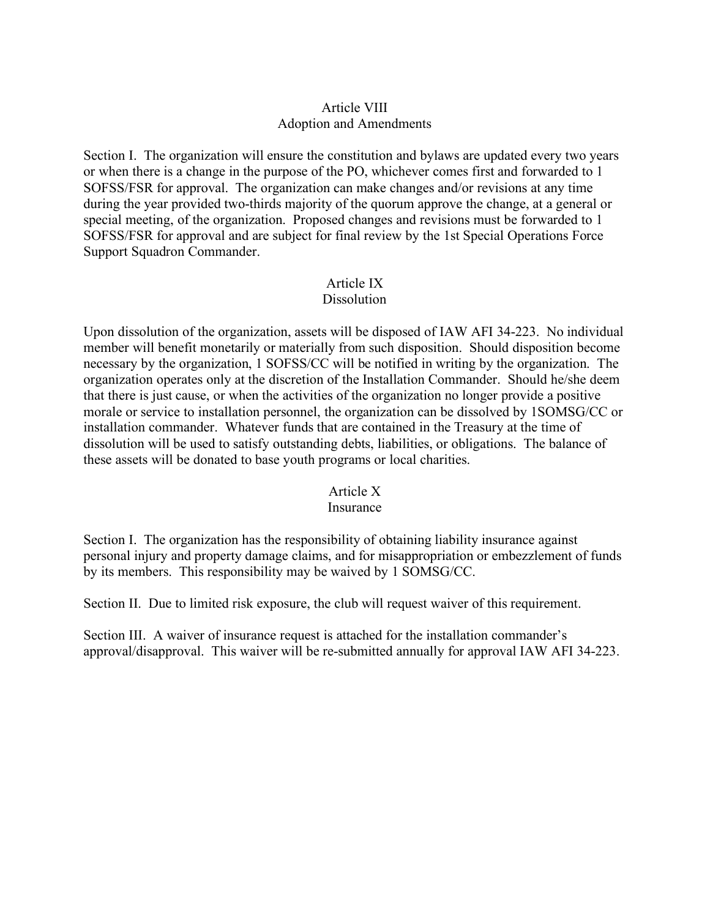# Article VIII Adoption and Amendments

Section I. The organization will ensure the constitution and bylaws are updated every two years or when there is a change in the purpose of the PO, whichever comes first and forwarded to 1 SOFSS/FSR for approval. The organization can make changes and/or revisions at any time during the year provided two-thirds majority of the quorum approve the change, at a general or special meeting, of the organization. Proposed changes and revisions must be forwarded to 1 SOFSS/FSR for approval and are subject for final review by the 1st Special Operations Force Support Squadron Commander.

#### Article IX Dissolution

Upon dissolution of the organization, assets will be disposed of IAW AFI 34-223. No individual member will benefit monetarily or materially from such disposition. Should disposition become necessary by the organization, 1 SOFSS/CC will be notified in writing by the organization. The organization operates only at the discretion of the Installation Commander. Should he/she deem that there is just cause, or when the activities of the organization no longer provide a positive morale or service to installation personnel, the organization can be dissolved by 1SOMSG/CC or installation commander. Whatever funds that are contained in the Treasury at the time of dissolution will be used to satisfy outstanding debts, liabilities, or obligations. The balance of these assets will be donated to base youth programs or local charities.

#### Article X

#### Insurance

Section I. The organization has the responsibility of obtaining liability insurance against personal injury and property damage claims, and for misappropriation or embezzlement of funds by its members. This responsibility may be waived by 1 SOMSG/CC.

Section II. Due to limited risk exposure, the club will request waiver of this requirement.

Section III. A waiver of insurance request is attached for the installation commander's approval/disapproval. This waiver will be re-submitted annually for approval IAW AFI 34-223.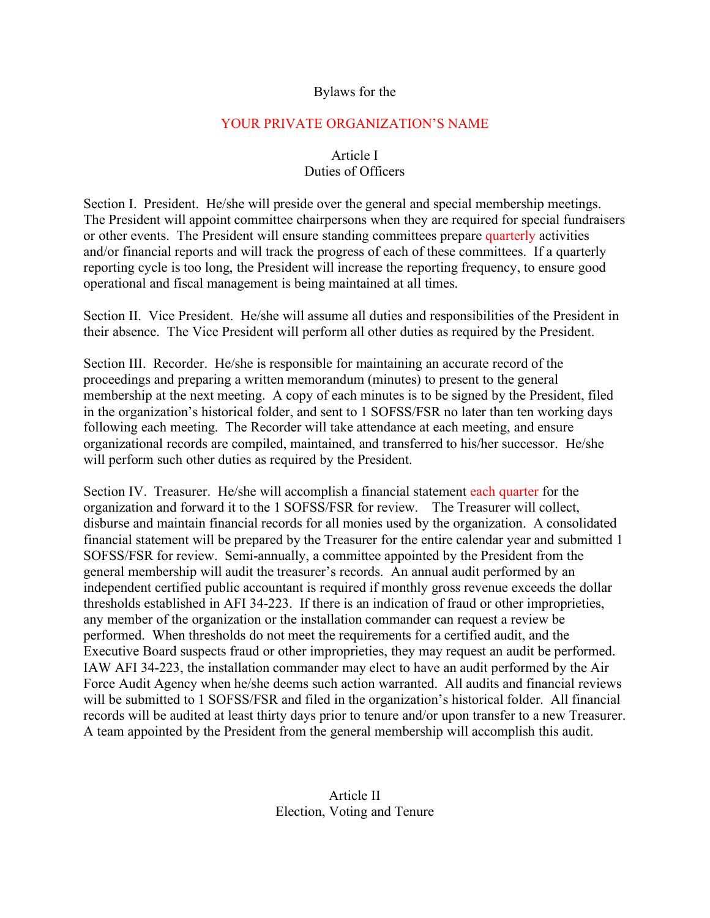#### Bylaws for the

#### YOUR PRIVATE ORGANIZATION'S NAME

# Article I

# Duties of Officers

Section I. President. He/she will preside over the general and special membership meetings. The President will appoint committee chairpersons when they are required for special fundraisers or other events. The President will ensure standing committees prepare quarterly activities and/or financial reports and will track the progress of each of these committees. If a quarterly reporting cycle is too long, the President will increase the reporting frequency, to ensure good operational and fiscal management is being maintained at all times.

Section II. Vice President. He/she will assume all duties and responsibilities of the President in their absence. The Vice President will perform all other duties as required by the President.

Section III. Recorder. He/she is responsible for maintaining an accurate record of the proceedings and preparing a written memorandum (minutes) to present to the general membership at the next meeting. A copy of each minutes is to be signed by the President, filed in the organization's historical folder, and sent to 1 SOFSS/FSR no later than ten working days following each meeting. The Recorder will take attendance at each meeting, and ensure organizational records are compiled, maintained, and transferred to his/her successor. He/she will perform such other duties as required by the President.

Section IV. Treasurer. He/she will accomplish a financial statement each quarter for the organization and forward it to the 1 SOFSS/FSR for review. The Treasurer will collect, disburse and maintain financial records for all monies used by the organization. A consolidated financial statement will be prepared by the Treasurer for the entire calendar year and submitted 1 SOFSS/FSR for review. Semi-annually, a committee appointed by the President from the general membership will audit the treasurer's records. An annual audit performed by an independent certified public accountant is required if monthly gross revenue exceeds the dollar thresholds established in AFI 34-223. If there is an indication of fraud or other improprieties, any member of the organization or the installation commander can request a review be performed. When thresholds do not meet the requirements for a certified audit, and the Executive Board suspects fraud or other improprieties, they may request an audit be performed. IAW AFI 34-223, the installation commander may elect to have an audit performed by the Air Force Audit Agency when he/she deems such action warranted. All audits and financial reviews will be submitted to 1 SOFSS/FSR and filed in the organization's historical folder. All financial records will be audited at least thirty days prior to tenure and/or upon transfer to a new Treasurer. A team appointed by the President from the general membership will accomplish this audit.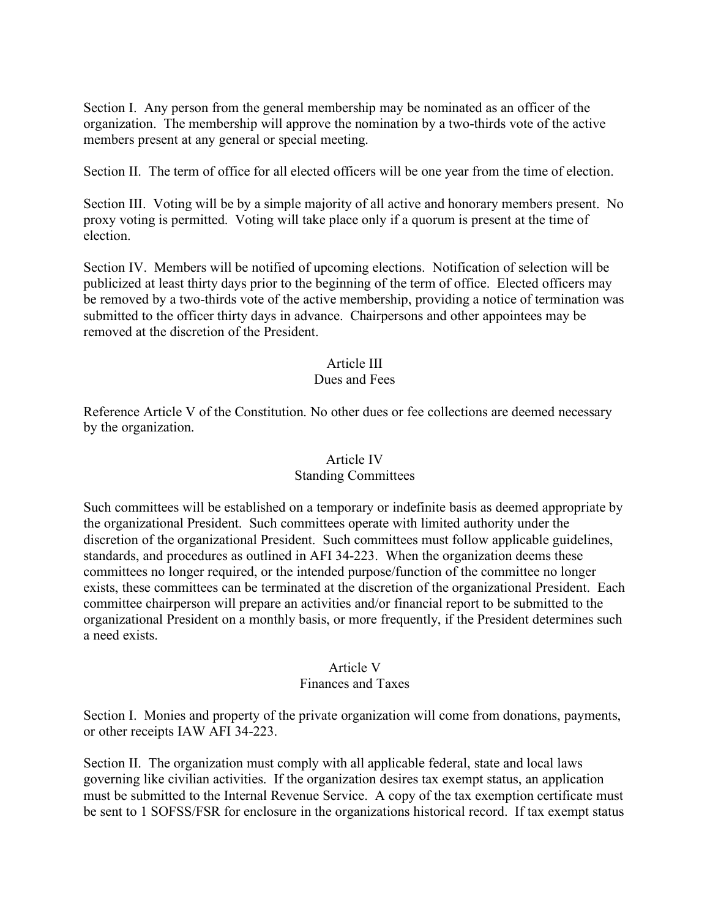Section I. Any person from the general membership may be nominated as an officer of the organization. The membership will approve the nomination by a two-thirds vote of the active members present at any general or special meeting.

Section II. The term of office for all elected officers will be one year from the time of election.

Section III. Voting will be by a simple majority of all active and honorary members present. No proxy voting is permitted. Voting will take place only if a quorum is present at the time of election.

Section IV. Members will be notified of upcoming elections. Notification of selection will be publicized at least thirty days prior to the beginning of the term of office. Elected officers may be removed by a two-thirds vote of the active membership, providing a notice of termination was submitted to the officer thirty days in advance. Chairpersons and other appointees may be removed at the discretion of the President.

### Article III

#### Dues and Fees

Reference Article V of the Constitution. No other dues or fee collections are deemed necessary by the organization.

#### Article IV

#### Standing Committees

Such committees will be established on a temporary or indefinite basis as deemed appropriate by the organizational President. Such committees operate with limited authority under the discretion of the organizational President. Such committees must follow applicable guidelines, standards, and procedures as outlined in AFI 34-223. When the organization deems these committees no longer required, or the intended purpose/function of the committee no longer exists, these committees can be terminated at the discretion of the organizational President. Each committee chairperson will prepare an activities and/or financial report to be submitted to the organizational President on a monthly basis, or more frequently, if the President determines such a need exists.

#### Article V

#### Finances and Taxes

Section I. Monies and property of the private organization will come from donations, payments, or other receipts IAW AFI 34-223.

Section II. The organization must comply with all applicable federal, state and local laws governing like civilian activities. If the organization desires tax exempt status, an application must be submitted to the Internal Revenue Service. A copy of the tax exemption certificate must be sent to 1 SOFSS/FSR for enclosure in the organizations historical record. If tax exempt status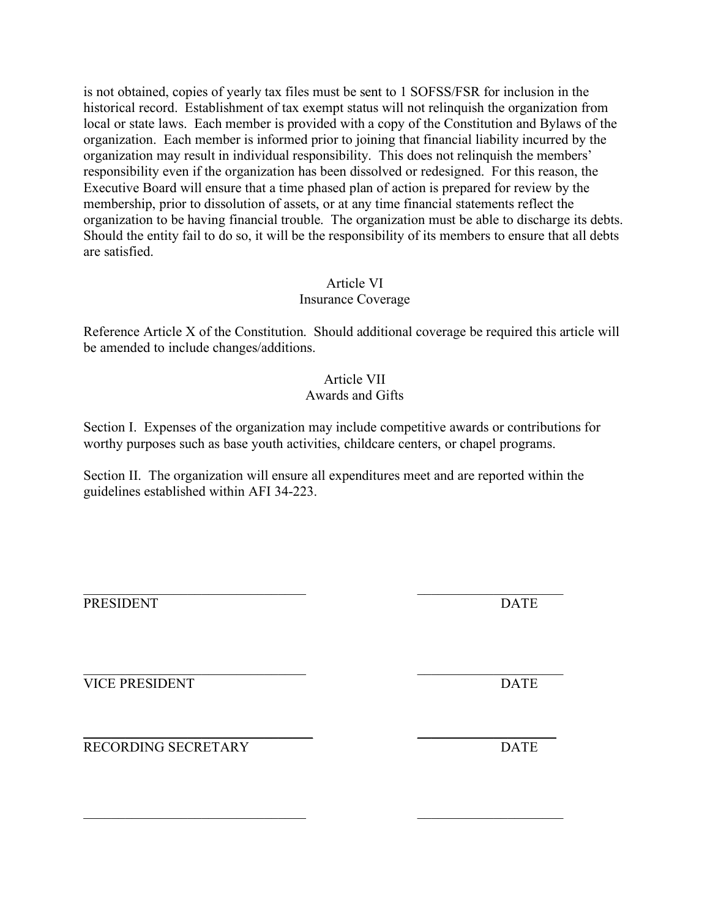is not obtained, copies of yearly tax files must be sent to 1 SOFSS/FSR for inclusion in the historical record. Establishment of tax exempt status will not relinquish the organization from local or state laws. Each member is provided with a copy of the Constitution and Bylaws of the organization. Each member is informed prior to joining that financial liability incurred by the organization may result in individual responsibility. This does not relinquish the members' responsibility even if the organization has been dissolved or redesigned. For this reason, the Executive Board will ensure that a time phased plan of action is prepared for review by the membership, prior to dissolution of assets, or at any time financial statements reflect the organization to be having financial trouble. The organization must be able to discharge its debts. Should the entity fail to do so, it will be the responsibility of its members to ensure that all debts are satisfied.

# Article VI

# Insurance Coverage

Reference Article X of the Constitution. Should additional coverage be required this article will be amended to include changes/additions.

# Article VII

# Awards and Gifts

Section I. Expenses of the organization may include competitive awards or contributions for worthy purposes such as base youth activities, childcare centers, or chapel programs.

Section II. The organization will ensure all expenditures meet and are reported within the guidelines established within AFI 34-223.

 $\mathcal{L}_\mathcal{L}$  , and the contribution of the contribution of the contribution of the contribution of the contribution of the contribution of the contribution of the contribution of the contribution of the contribution of

PRESIDENT DATE

 $\_$  , and the contribution of the contribution of  $\mathcal{L}_\mathcal{A}$ VICE PRESIDENT DATE

\_\_\_\_\_\_\_\_\_\_\_\_\_\_\_\_\_\_\_\_\_\_\_\_\_\_\_\_\_\_\_\_\_ \_\_\_\_\_\_\_\_\_\_\_\_\_\_\_\_\_\_\_\_ RECORDING SECRETARY DATE